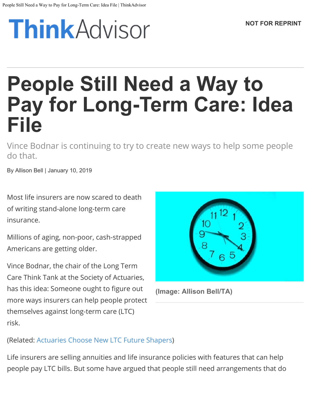# **ThinkAdvisor**

# **People Still Need a Way to Pay for Long-Term Care: Idea File**

Vince Bodnar is continuing to try to create new ways to help some people do that.

By Allison Bell | January 10, 2019

Most life insurers are now scared to death of writing stand-alone long-term care insurance.

Millions of aging, non-poor, cash-strapped Americans are getting older.

Vince Bodnar, the chair of the Long Term Care Think Tank at the Society of Actuaries, has this idea: Someone ought to figure out more ways insurers can help people protect themselves against long-term care (LTC) risk.



**(Image: Allison Bell/TA)**

(Related: [Actuaries Choose New LTC Future Shapers](https://www.thinkadvisor.com/sites/thinkadvisor/2015/11/04/actuaries-choose-new-ltc-future-shapers/))

Life insurers are selling annuities and life insurance policies with features that can help people pay LTC bills. But some have argued that people still need arrangements that do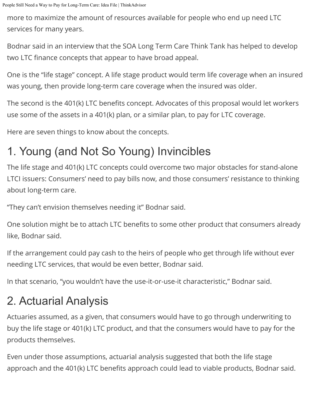more to maximize the amount of resources available for people who end up need LTC services for many years.

Bodnar said in an interview that the SOA Long Term Care Think Tank has helped to develop two LTC finance concepts that appear to have broad appeal.

One is the "life stage" concept. A life stage product would term life coverage when an insured was young, then provide long-term care coverage when the insured was older.

The second is the 401(k) LTC benefits concept. Advocates of this proposal would let workers use some of the assets in a 401(k) plan, or a similar plan, to pay for LTC coverage.

Here are seven things to know about the concepts.

# 1. Young (and Not So Young) Invincibles

The life stage and 401(k) LTC concepts could overcome two major obstacles for stand-alone LTCI issuers: Consumers' need to pay bills now, and those consumers' resistance to thinking about long-term care.

"They can't envision themselves needing it" Bodnar said.

One solution might be to attach LTC benefits to some other product that consumers already like, Bodnar said.

If the arrangement could pay cash to the heirs of people who get through life without ever needing LTC services, that would be even better, Bodnar said.

In that scenario, "you wouldn't have the use-it-or-use-it characteristic," Bodnar said.

# 2. Actuarial Analysis

Actuaries assumed, as a given, that consumers would have to go through underwriting to buy the life stage or 401(k) LTC product, and that the consumers would have to pay for the products themselves.

Even under those assumptions, actuarial analysis suggested that both the life stage approach and the 401(k) LTC benefits approach could lead to viable products, Bodnar said.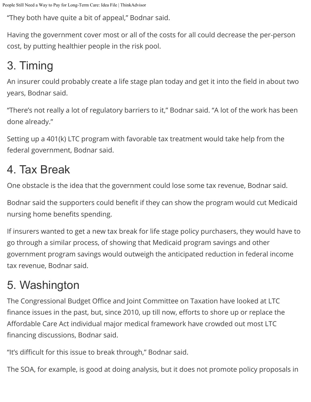"They both have quite a bit of appeal," Bodnar said.

Having the government cover most or all of the costs for all could decrease the per-person cost, by putting healthier people in the risk pool.

#### 3. Timing

An insurer could probably create a life stage plan today and get it into the field in about two years, Bodnar said.

"There's not really a lot of regulatory barriers to it," Bodnar said. "A lot of the work has been done already."

Setting up a 401(k) LTC program with favorable tax treatment would take help from the federal government, Bodnar said.

#### 4. Tax Break

One obstacle is the idea that the government could lose some tax revenue, Bodnar said.

Bodnar said the supporters could benefit if they can show the program would cut Medicaid nursing home benefits spending.

If insurers wanted to get a new tax break for life stage policy purchasers, they would have to go through a similar process, of showing that Medicaid program savings and other government program savings would outweigh the anticipated reduction in federal income tax revenue, Bodnar said.

#### 5. Washington

The Congressional Budget Office and Joint Committee on Taxation have looked at LTC finance issues in the past, but, since 2010, up till now, efforts to shore up or replace the Affordable Care Act individual major medical framework have crowded out most LTC financing discussions, Bodnar said.

"It's difficult for this issue to break through," Bodnar said.

The SOA, for example, is good at doing analysis, but it does not promote policy proposals in